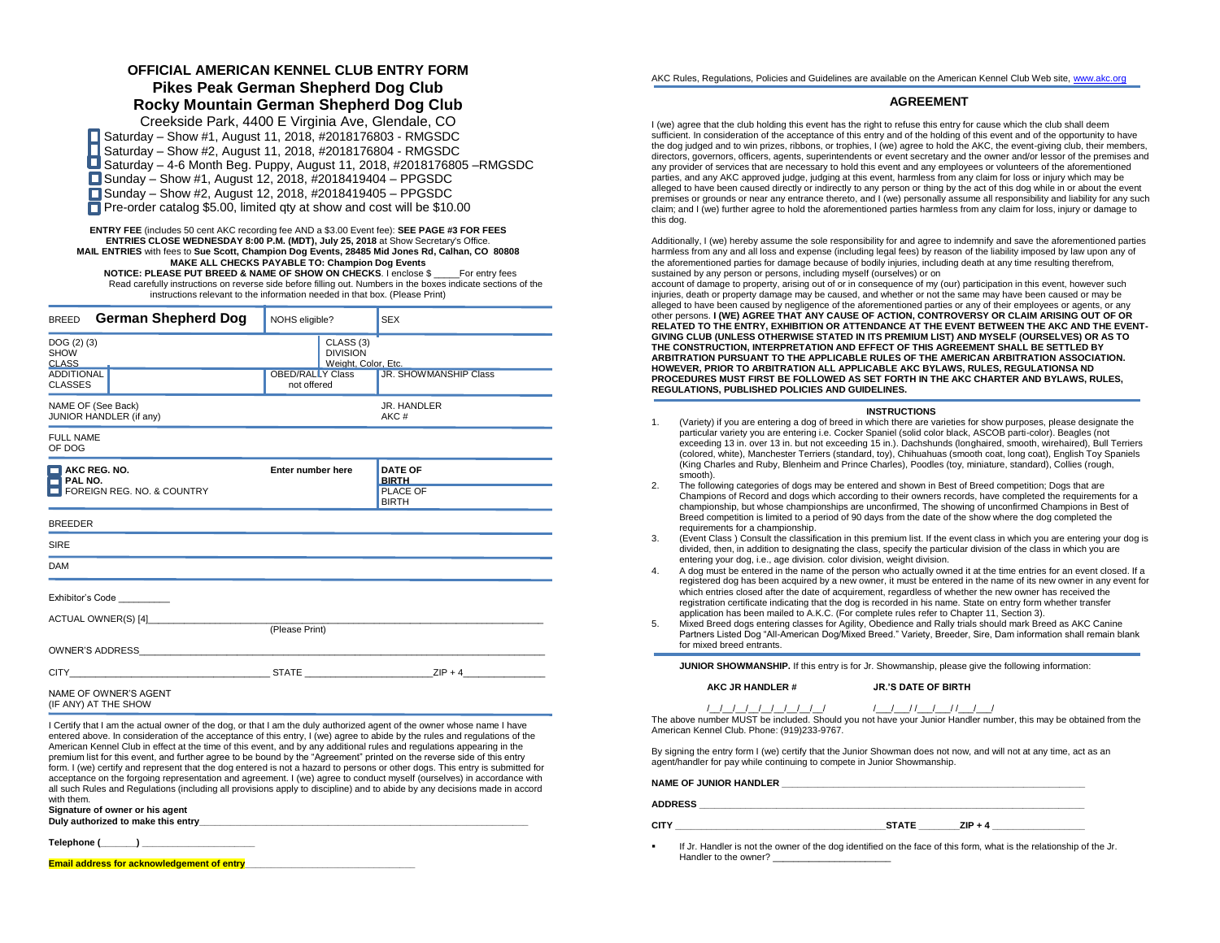## **OFFICIAL AMERICAN KENNEL CLUB ENTRY FORM Pikes Peak German Shepherd Dog Club Rocky Mountain German Shepherd Dog Club**

Creekside Park, 4400 E Virginia Ave, Glendale, CO Saturday – Show #1, August 11, 2018, #2018176803 - RMGSDC Saturday – Show #2, August 11, 2018, #2018176804 - RMGSDC Saturday – 4-6 Month Beg. Puppy, August 11, 2018, #2018176805 –RMGSDC  $\Box$  Sunday – Show #1, August 12, 2018, #2018419404 – PPGSDC ■ Sunday – Show #2, August 12, 2018, #2018419405 – PPGSDC **Pre-order catalog \$5.00, limited gty at show and cost will be \$10.00** 

**ENTRY FEE** (includes 50 cent AKC recording fee AND a \$3.00 Event fee): **SEE PAGE #3 FOR FEES ENTRIES CLOSE WEDNESDAY 8:00 P.M. (MDT), July 25, 2018** at Show Secretary's Office. **MAIL ENTRIES** with fees to **Sue Scott, Champion Dog Events, 28485 Mid Jones Rd, Calhan, CO 80808 MAKE ALL CHECKS PAYABLE TO: Champion Dog Events NOTICE: PLEASE PUT BREED & NAME OF SHOW ON CHECKS**. I enclose \$ \_\_\_\_\_For entry fees Read carefully instructions on reverse side before filling out. Numbers in the boxes indicate sections of the instructions relevant to the information needed in that box. (Please Print)

| German Shepherd Dog<br><b>BREED</b>                                  | NOHS eligible?                         |                                                                | <b>SEX</b>                                                 |
|----------------------------------------------------------------------|----------------------------------------|----------------------------------------------------------------|------------------------------------------------------------|
| DOG(2)(3)<br><b>SHOW</b><br><b>CLASS</b>                             |                                        | CLASS <sub>(3)</sub><br><b>DIVISION</b><br>Weight, Color, Etc. |                                                            |
| <b>ADDITIONAL</b><br><b>CLASSES</b>                                  | <b>OBED/RALLY Class</b><br>not offered |                                                                | JR. SHOWMANSHIP Class                                      |
| NAME OF (See Back)<br>JUNIOR HANDLER (if any)                        |                                        |                                                                | JR. HANDLER<br>AKC#                                        |
| <b>FULL NAME</b><br>OF DOG                                           |                                        |                                                                |                                                            |
| $\blacksquare$ AKC REG. NO.<br>PAL NO.<br>FOREIGN REG. NO. & COUNTRY | Enter number here                      |                                                                | <b>DATE OF</b><br><b>BIRTH</b><br>PLACE OF<br><b>BIRTH</b> |
| <b>BREEDER</b>                                                       |                                        |                                                                |                                                            |
| SIRE                                                                 |                                        |                                                                |                                                            |
| <b>DAM</b>                                                           |                                        |                                                                |                                                            |
| Exhibitor's Code                                                     |                                        |                                                                |                                                            |
| ACTUAL OWNER(S) [4]                                                  | (Please Print)                         |                                                                |                                                            |
|                                                                      |                                        |                                                                |                                                            |
| CITY ZIP + 4                                                         |                                        |                                                                |                                                            |
| NAME OF OWNER'S AGENT<br>(IF ANY) AT THE SHOW                        |                                        |                                                                |                                                            |

I Certify that I am the actual owner of the dog, or that I am the duly authorized agent of the owner whose name I have entered above. In consideration of the acceptance of this entry, I (we) agree to abide by the rules and regulations of the American Kennel Club in effect at the time of this event, and by any additional rules and regulations appearing in the premium list for this event, and further agree to be bound by the "Agreement" printed on the reverse side of this entry form. I (we) certify and represent that the dog entered is not a hazard to persons or other dogs. This entry is submitted for acceptance on the forgoing representation and agreement. I (we) agree to conduct myself (ourselves) in accordance with all such Rules and Regulations (including all provisions apply to discipline) and to abide by any decisions made in accord with them.

**Signature of owner or his agent** Duly authorized to make this entry

**Telephone (\_\_\_\_\_\_\_) \_\_\_\_\_\_\_\_\_\_\_\_\_\_\_\_\_\_\_\_\_\_**

**Email address for acknowledgement of entry** 

AKC Rules, Regulations, Policies and Guidelines are available on the American Kennel Club Web site[, www.akc.org](http://www.akc.org/)

## **AGREEMENT**

I (we) agree that the club holding this event has the right to refuse this entry for cause which the club shall deem sufficient. In consideration of the acceptance of this entry and of the holding of this event and of the opportunity to have the dog judged and to win prizes, ribbons, or trophies, I (we) agree to hold the AKC, the event-giving club, their members, directors, governors, officers, agents, superintendents or event secretary and the owner and/or lessor of the premises and any provider of services that are necessary to hold this event and any employees or volunteers of the aforementioned parties, and any AKC approved judge, judging at this event, harmless from any claim for loss or injury which may be alleged to have been caused directly or indirectly to any person or thing by the act of this dog while in or about the event premises or grounds or near any entrance thereto, and I (we) personally assume all responsibility and liability for any such claim; and I (we) further agree to hold the aforementioned parties harmless from any claim for loss, injury or damage to this dog.

Additionally, I (we) hereby assume the sole responsibility for and agree to indemnify and save the aforementioned parties harmless from any and all loss and expense (including legal fees) by reason of the liability imposed by law upon any of the aforementioned parties for damage because of bodily injuries, including death at any time resulting therefrom, sustained by any person or persons, including myself (ourselves) or on

account of damage to property, arising out of or in consequence of my (our) participation in this event, however such injuries, death or property damage may be caused, and whether or not the same may have been caused or may be alleged to have been caused by negligence of the aforementioned parties or any of their employees or agents, or any other persons. **I (WE) AGREE THAT ANY CAUSE OF ACTION, CONTROVERSY OR CLAIM ARISING OUT OF OR RELATED TO THE ENTRY, EXHIBITION OR ATTENDANCE AT THE EVENT BETWEEN THE AKC AND THE EVENT-GIVING CLUB (UNLESS OTHERWISE STATED IN ITS PREMIUM LIST) AND MYSELF (OURSELVES) OR AS TO THE CONSTRUCTION, INTERPRETATION AND EFFECT OF THIS AGREEMENT SHALL BE SETTLED BY ARBITRATION PURSUANT TO THE APPLICABLE RULES OF THE AMERICAN ARBITRATION ASSOCIATION. HOWEVER, PRIOR TO ARBITRATION ALL APPLICABLE AKC BYLAWS, RULES, REGULATIONSA ND PROCEDURES MUST FIRST BE FOLLOWED AS SET FORTH IN THE AKC CHARTER AND BYLAWS, RULES, REGULATIONS, PUBLISHED POLICIES AND GUIDELINES.**

#### **INSTRUCTIONS**

- 1. (Variety) if you are entering a dog of breed in which there are varieties for show purposes, please designate the particular variety you are entering i.e. Cocker Spaniel (solid color black, ASCOB parti-color). Beagles (not exceeding 13 in. over 13 in. but not exceeding 15 in.). Dachshunds (longhaired, smooth, wirehaired), Bull Terriers (colored, white), Manchester Terriers (standard, toy), Chihuahuas (smooth coat, long coat), English Toy Spaniels (King Charles and Ruby, Blenheim and Prince Charles), Poodles (toy, miniature, standard), Collies (rough, smooth).
- 2. The following categories of dogs may be entered and shown in Best of Breed competition; Dogs that are Champions of Record and dogs which according to their owners records, have completed the requirements for a championship, but whose championships are unconfirmed, The showing of unconfirmed Champions in Best of Breed competition is limited to a period of 90 days from the date of the show where the dog completed the requirements for a championship.
- 3. (Event Class ) Consult the classification in this premium list. If the event class in which you are entering your dog is divided, then, in addition to designating the class, specify the particular division of the class in which you are entering your dog, i.e., age division. color division, weight division.
- 4. A dog must be entered in the name of the person who actually owned it at the time entries for an event closed. If a registered dog has been acquired by a new owner, it must be entered in the name of its new owner in any event for which entries closed after the date of acquirement, regardless of whether the new owner has received the registration certificate indicating that the dog is recorded in his name. State on entry form whether transfer application has been mailed to A.K.C. (For complete rules refer to Chapter 11, Section 3).
- 5. Mixed Breed dogs entering classes for Agility, Obedience and Rally trials should mark Breed as AKC Canine Partners Listed Dog "All-American Dog/Mixed Breed." Variety, Breeder, Sire, Dam information shall remain blank for mixed breed entrants.

**JUNIOR SHOWMANSHIP.** If this entry is for Jr. Showmanship, please give the following information:

#### **AKC JR HANDLER # JR.'S DATE OF BIRTH**

/\_\_/\_\_/\_\_/\_\_/\_\_/\_\_/\_\_/\_\_/\_\_/ /\_\_\_/\_\_\_/ /\_\_\_/\_\_\_/ /\_\_\_/\_\_\_/

The above number MUST be included. Should you not have your Junior Handler number, this may be obtained from the American Kennel Club. Phone: (919)233-9767.

By signing the entry form I (we) certify that the Junior Showman does not now, and will not at any time, act as an agent/handler for pay while continuing to compete in Junior Showmanship.

#### NAME OF JUNIOR HANDLER

#### **ADDRESS \_\_\_\_\_\_\_\_\_\_\_\_\_\_\_\_\_\_\_\_\_\_\_\_\_\_\_\_\_\_\_\_\_\_\_\_\_\_\_\_\_\_\_\_\_\_\_\_\_\_\_\_\_\_\_\_\_\_\_\_\_\_\_\_\_\_\_\_\_\_\_\_\_\_\_**

- **CITY** CITY **CITY CITY CITY CITY CITY CITY CITY CITY CITY CITY CITY CITY CITY CITY CITY CITY CITY CITY CITY CITY CITY CITY CITY CITY CITY CITY CITY CITY CITY CITY**
	-
- If Jr. Handler is not the owner of the dog identified on the face of this form, what is the relationship of the Jr. Handler to the owner? \_\_\_\_\_\_\_\_\_\_\_\_\_\_\_\_\_\_\_\_\_\_\_